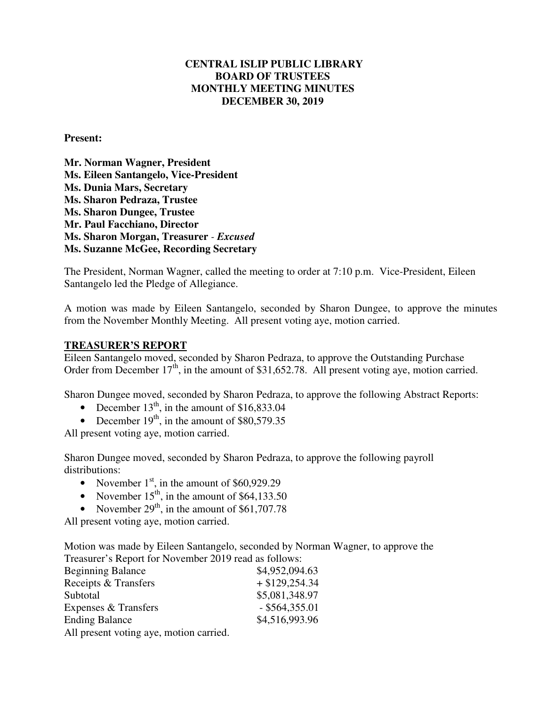## **CENTRAL ISLIP PUBLIC LIBRARY BOARD OF TRUSTEES MONTHLY MEETING MINUTES DECEMBER 30, 2019**

#### **Present:**

**Mr. Norman Wagner, President Ms. Eileen Santangelo, Vice-President Ms. Dunia Mars, Secretary Ms. Sharon Pedraza, Trustee Ms. Sharon Dungee, Trustee Mr. Paul Facchiano, Director Ms. Sharon Morgan, Treasurer** *- Excused* **Ms. Suzanne McGee, Recording Secretary** 

The President, Norman Wagner, called the meeting to order at 7:10 p.m. Vice-President, Eileen Santangelo led the Pledge of Allegiance.

A motion was made by Eileen Santangelo, seconded by Sharon Dungee, to approve the minutes from the November Monthly Meeting. All present voting aye, motion carried.

#### **TREASURER'S REPORT**

Eileen Santangelo moved, seconded by Sharon Pedraza, to approve the Outstanding Purchase Order from December  $17<sup>th</sup>$ , in the amount of \$31,652.78. All present voting aye, motion carried.

Sharon Dungee moved, seconded by Sharon Pedraza, to approve the following Abstract Reports:

- December  $13<sup>th</sup>$ , in the amount of \$16,833.04
- December  $19<sup>th</sup>$ , in the amount of \$80,579.35

All present voting aye, motion carried.

Sharon Dungee moved, seconded by Sharon Pedraza, to approve the following payroll distributions:

- November  $1<sup>st</sup>$ , in the amount of \$60,929.29
- November  $15<sup>th</sup>$ , in the amount of \$64,133.50
- November  $29<sup>th</sup>$ , in the amount of \$61,707.78

All present voting aye, motion carried.

Motion was made by Eileen Santangelo, seconded by Norman Wagner, to approve the Treasurer's Report for November 2019 read as follows:

| <b>Beginning Balance</b>                | \$4,952,094.63   |
|-----------------------------------------|------------------|
| Receipts & Transfers                    | $+$ \$129,254.34 |
| Subtotal                                | \$5,081,348.97   |
| Expenses & Transfers                    | $-$ \$564,355.01 |
| <b>Ending Balance</b>                   | \$4,516,993.96   |
| All present voting aye, motion carried. |                  |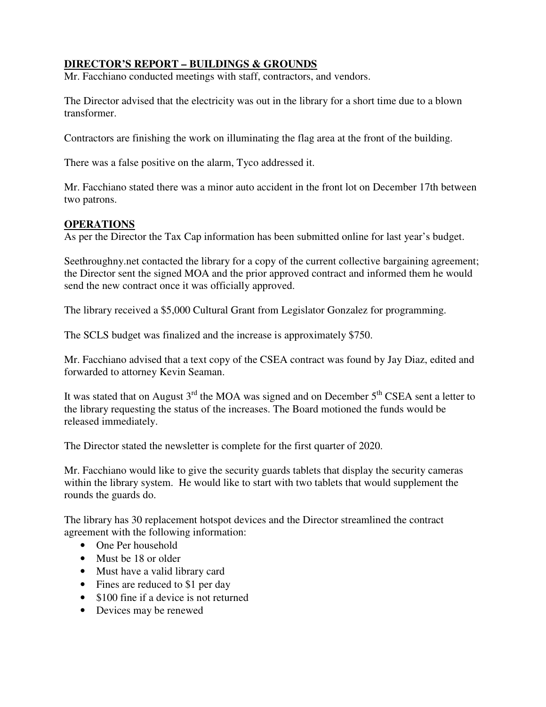## **DIRECTOR'S REPORT – BUILDINGS & GROUNDS**

Mr. Facchiano conducted meetings with staff, contractors, and vendors.

The Director advised that the electricity was out in the library for a short time due to a blown transformer.

Contractors are finishing the work on illuminating the flag area at the front of the building.

There was a false positive on the alarm, Tyco addressed it.

Mr. Facchiano stated there was a minor auto accident in the front lot on December 17th between two patrons.

## **OPERATIONS**

As per the Director the Tax Cap information has been submitted online for last year's budget.

Seethroughny.net contacted the library for a copy of the current collective bargaining agreement; the Director sent the signed MOA and the prior approved contract and informed them he would send the new contract once it was officially approved.

The library received a \$5,000 Cultural Grant from Legislator Gonzalez for programming.

The SCLS budget was finalized and the increase is approximately \$750.

Mr. Facchiano advised that a text copy of the CSEA contract was found by Jay Diaz, edited and forwarded to attorney Kevin Seaman.

It was stated that on August  $3<sup>rd</sup>$  the MOA was signed and on December  $5<sup>th</sup> CSEA$  sent a letter to the library requesting the status of the increases. The Board motioned the funds would be released immediately.

The Director stated the newsletter is complete for the first quarter of 2020.

Mr. Facchiano would like to give the security guards tablets that display the security cameras within the library system. He would like to start with two tablets that would supplement the rounds the guards do.

The library has 30 replacement hotspot devices and the Director streamlined the contract agreement with the following information:

- One Per household
- Must be 18 or older
- Must have a valid library card
- Fines are reduced to \$1 per day
- \$100 fine if a device is not returned
- Devices may be renewed